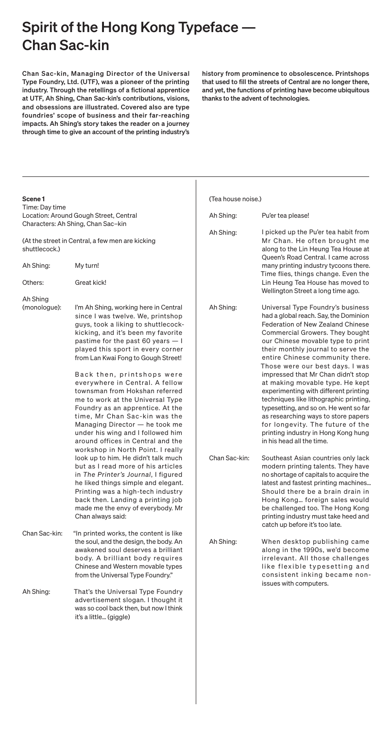## Spirit of the Hong Kong Typeface -Chan Sac-kin

Ah Shing:

Chan Sac-kin, Managing Director of the Universal Type Foundry, Ltd. (UTF), was a pioneer of the printing industry. Through the retellings of a fictional apprentice at UTF, Ah Shing, Chan Sac-kin's contributions, visions, and obsessions are illustrated. Covered also are type foundries' scope of business and their far-reaching impacts. Ah Shing's story takes the reader on a journey through time to give an account of the printing industry's history from prominence to obsolescence. Printshops that used to fill the streets of Central are no longer there, and yet, the functions of printing have become ubiquitous thanks to the advent of technologies.

| Scene 1                                                                                        |                                                                                                                                                                                                                                                                                                                                                                                                                                                                                                                                                                                                                                       | (Tea house noise.) |                                                                                                                                                                                                                                                                                                                                                                                                                                                                                                                                                                                                                                                                 |
|------------------------------------------------------------------------------------------------|---------------------------------------------------------------------------------------------------------------------------------------------------------------------------------------------------------------------------------------------------------------------------------------------------------------------------------------------------------------------------------------------------------------------------------------------------------------------------------------------------------------------------------------------------------------------------------------------------------------------------------------|--------------------|-----------------------------------------------------------------------------------------------------------------------------------------------------------------------------------------------------------------------------------------------------------------------------------------------------------------------------------------------------------------------------------------------------------------------------------------------------------------------------------------------------------------------------------------------------------------------------------------------------------------------------------------------------------------|
| Time: Day time<br>Location: Around Gough Street, Central<br>Characters: Ah Shing, Chan Sac-kin |                                                                                                                                                                                                                                                                                                                                                                                                                                                                                                                                                                                                                                       | Ah Shing:          | Pu'er tea please!                                                                                                                                                                                                                                                                                                                                                                                                                                                                                                                                                                                                                                               |
| (At the street in Central, a few men are kicking<br>shuttlecock.)                              |                                                                                                                                                                                                                                                                                                                                                                                                                                                                                                                                                                                                                                       | Ah Shing:          | I picked up the Pu'er tea habit from<br>Mr Chan. He often brought me<br>along to the Lin Heung Tea House at<br>Queen's Road Central. I came across                                                                                                                                                                                                                                                                                                                                                                                                                                                                                                              |
| Ah Shing:                                                                                      | My turn!                                                                                                                                                                                                                                                                                                                                                                                                                                                                                                                                                                                                                              |                    | many printing industry tycoons there.<br>Time flies, things change. Even the                                                                                                                                                                                                                                                                                                                                                                                                                                                                                                                                                                                    |
| Others:                                                                                        | Great kick!                                                                                                                                                                                                                                                                                                                                                                                                                                                                                                                                                                                                                           |                    | Lin Heung Tea House has moved to<br>Wellington Street a long time ago.                                                                                                                                                                                                                                                                                                                                                                                                                                                                                                                                                                                          |
| Ah Shing<br>(monologue):                                                                       | I'm Ah Shing, working here in Central<br>since I was twelve. We, printshop<br>guys, took a liking to shuttlecock-<br>kicking, and it's been my favorite<br>pastime for the past 60 years - I<br>played this sport in every corner<br>from Lan Kwai Fong to Gough Street!<br>Back then, printshops were<br>everywhere in Central. A fellow<br>townsman from Hokshan referred<br>me to work at the Universal Type<br>Foundry as an apprentice. At the<br>time, Mr Chan Sac-kin was the<br>Managing Director - he took me<br>under his wing and I followed him<br>around offices in Central and the<br>workshop in North Point. I really | Ah Shing:          | Universal Type Foundry's business<br>had a global reach. Say, the Dominion<br><b>Federation of New Zealand Chinese</b><br>Commercial Growers. They bought<br>our Chinese movable type to print<br>their monthly journal to serve the<br>entire Chinese community there.<br>Those were our best days. I was<br>impressed that Mr Chan didn't stop<br>at making movable type. He kept<br>experimenting with different printing<br>techniques like lithographic printing,<br>typesetting, and so on. He went so far<br>as researching ways to store papers<br>for longevity. The future of the<br>printing industry in Hong Kong hung<br>in his head all the time. |
|                                                                                                | look up to him. He didn't talk much<br>but as I read more of his articles<br>in The Printer's Journal, I figured<br>he liked things simple and elegant.<br>Printing was a high-tech industry<br>back then. Landing a printing job<br>made me the envy of everybody. Mr<br>Chan always said:                                                                                                                                                                                                                                                                                                                                           | Chan Sac-kin:      | Southeast Asian countries only lack<br>modern printing talents. They have<br>no shortage of capitals to acquire the<br>latest and fastest printing machines<br>Should there be a brain drain in<br>Hong Kong foreign sales would<br>be challenged too. The Hong Kong<br>printing industry must take heed and<br>catch up before it's too late.                                                                                                                                                                                                                                                                                                                  |
| Chan Sac-kin:                                                                                  | "In printed works, the content is like<br>the soul, and the design, the body. An<br>awakened soul deserves a brilliant<br>body. A brilliant body requires<br>Chinese and Western movable types<br>from the Universal Type Foundry."                                                                                                                                                                                                                                                                                                                                                                                                   | Ah Shing:          | When desktop publishing came<br>along in the 1990s, we'd become<br>irrelevant. All those challenges<br>like flexible typesetting and<br>consistent inking became non-                                                                                                                                                                                                                                                                                                                                                                                                                                                                                           |

That's the Universal Type Foundry advertisement slogan. I thought it was so cool back then, but now I think it's a little… (giggle)

## issues with computers.